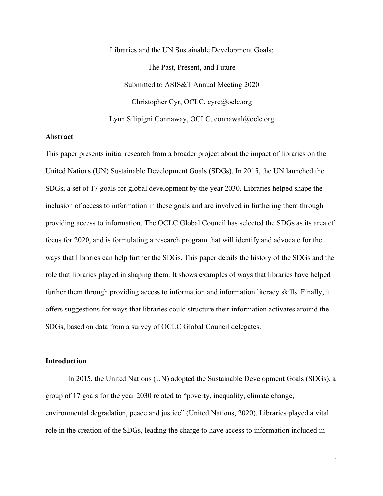Libraries and the UN Sustainable Development Goals: The Past, Present, and Future Submitted to ASIS&T Annual Meeting 2020 Christopher Cyr, OCLC, cyrc@oclc.org Lynn Silipigni Connaway, OCLC, connawal@oclc.org

### **Abstract**

This paper presents initial research from a broader project about the impact of libraries on the United Nations (UN) Sustainable Development Goals (SDGs). In 2015, the UN launched the SDGs, a set of 17 goals for global development by the year 2030. Libraries helped shape the inclusion of access to information in these goals and are involved in furthering them through providing access to information. The OCLC Global Council has selected the SDGs as its area of focus for 2020, and is formulating a research program that will identify and advocate for the ways that libraries can help further the SDGs. This paper details the history of the SDGs and the role that libraries played in shaping them. It shows examples of ways that libraries have helped further them through providing access to information and information literacy skills. Finally, it offers suggestions for ways that libraries could structure their information activates around the SDGs, based on data from a survey of OCLC Global Council delegates.

# **Introduction**

In 2015, the United Nations (UN) adopted the Sustainable Development Goals (SDGs), a group of 17 goals for the year 2030 related to "poverty, inequality, climate change, environmental degradation, peace and justice" (United Nations, 2020). Libraries played a vital role in the creation of the SDGs, leading the charge to have access to information included in

1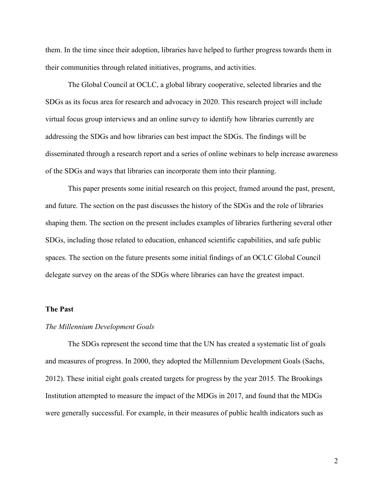them. In the time since their adoption, libraries have helped to further progress towards them in their communities through related initiatives, programs, and activities.

The Global Council at OCLC, a global library cooperative, selected libraries and the SDGs as its focus area for research and advocacy in 2020. This research project will include virtual focus group interviews and an online survey to identify how libraries currently are addressing the SDGs and how libraries can best impact the SDGs. The findings will be disseminated through a research report and a series of online webinars to help increase awareness of the SDGs and ways that libraries can incorporate them into their planning.

This paper presents some initial research on this project, framed around the past, present, and future. The section on the past discusses the history of the SDGs and the role of libraries shaping them. The section on the present includes examples of libraries furthering several other SDGs, including those related to education, enhanced scientific capabilities, and safe public spaces. The section on the future presents some initial findings of an OCLC Global Council delegate survey on the areas of the SDGs where libraries can have the greatest impact.

# **The Past**

### *The Millennium Development Goals*

The SDGs represent the second time that the UN has created a systematic list of goals and measures of progress. In 2000, they adopted the Millennium Development Goals (Sachs, 2012). These initial eight goals created targets for progress by the year 2015. The Brookings Institution attempted to measure the impact of the MDGs in 2017, and found that the MDGs were generally successful. For example, in their measures of public health indicators such as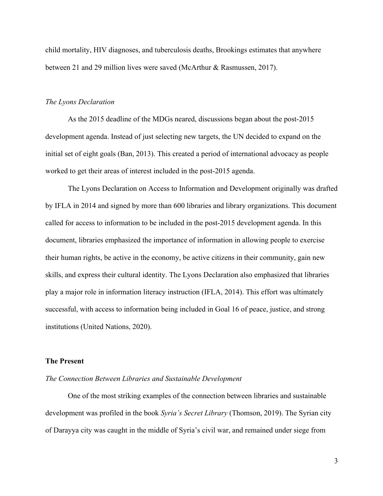child mortality, HIV diagnoses, and tuberculosis deaths, Brookings estimates that anywhere between 21 and 29 million lives were saved (McArthur & Rasmussen, 2017).

### *The Lyons Declaration*

As the 2015 deadline of the MDGs neared, discussions began about the post-2015 development agenda. Instead of just selecting new targets, the UN decided to expand on the initial set of eight goals (Ban, 2013). This created a period of international advocacy as people worked to get their areas of interest included in the post-2015 agenda.

The Lyons Declaration on Access to Information and Development originally was drafted by IFLA in 2014 and signed by more than 600 libraries and library organizations. This document called for access to information to be included in the post-2015 development agenda. In this document, libraries emphasized the importance of information in allowing people to exercise their human rights, be active in the economy, be active citizens in their community, gain new skills, and express their cultural identity. The Lyons Declaration also emphasized that libraries play a major role in information literacy instruction (IFLA, 2014). This effort was ultimately successful, with access to information being included in Goal 16 of peace, justice, and strong institutions (United Nations, 2020).

### **The Present**

# *The Connection Between Libraries and Sustainable Development*

One of the most striking examples of the connection between libraries and sustainable development was profiled in the book *Syria's Secret Library* (Thomson, 2019). The Syrian city of Darayya city was caught in the middle of Syria's civil war, and remained under siege from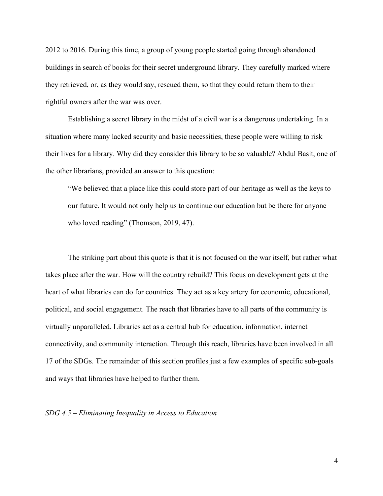2012 to 2016. During this time, a group of young people started going through abandoned buildings in search of books for their secret underground library. They carefully marked where they retrieved, or, as they would say, rescued them, so that they could return them to their rightful owners after the war was over.

Establishing a secret library in the midst of a civil war is a dangerous undertaking. In a situation where many lacked security and basic necessities, these people were willing to risk their lives for a library. Why did they consider this library to be so valuable? Abdul Basit, one of the other librarians, provided an answer to this question:

"We believed that a place like this could store part of our heritage as well as the keys to our future. It would not only help us to continue our education but be there for anyone who loved reading" (Thomson, 2019, 47).

The striking part about this quote is that it is not focused on the war itself, but rather what takes place after the war. How will the country rebuild? This focus on development gets at the heart of what libraries can do for countries. They act as a key artery for economic, educational, political, and social engagement. The reach that libraries have to all parts of the community is virtually unparalleled. Libraries act as a central hub for education, information, internet connectivity, and community interaction. Through this reach, libraries have been involved in all 17 of the SDGs. The remainder of this section profiles just a few examples of specific sub-goals and ways that libraries have helped to further them.

# *SDG 4.5 – Eliminating Inequality in Access to Education*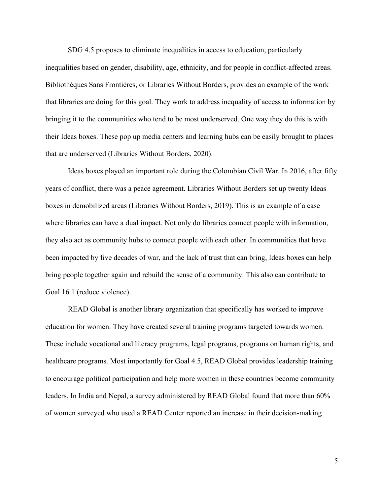SDG 4.5 proposes to eliminate inequalities in access to education, particularly inequalities based on gender, disability, age, ethnicity, and for people in conflict-affected areas. Bibliothèques Sans Frontières, or Libraries Without Borders, provides an example of the work that libraries are doing for this goal. They work to address inequality of access to information by bringing it to the communities who tend to be most underserved. One way they do this is with their Ideas boxes. These pop up media centers and learning hubs can be easily brought to places that are underserved (Libraries Without Borders, 2020).

Ideas boxes played an important role during the Colombian Civil War. In 2016, after fifty years of conflict, there was a peace agreement. Libraries Without Borders set up twenty Ideas boxes in demobilized areas (Libraries Without Borders, 2019). This is an example of a case where libraries can have a dual impact. Not only do libraries connect people with information, they also act as community hubs to connect people with each other. In communities that have been impacted by five decades of war, and the lack of trust that can bring, Ideas boxes can help bring people together again and rebuild the sense of a community. This also can contribute to Goal 16.1 (reduce violence).

READ Global is another library organization that specifically has worked to improve education for women. They have created several training programs targeted towards women. These include vocational and literacy programs, legal programs, programs on human rights, and healthcare programs. Most importantly for Goal 4.5, READ Global provides leadership training to encourage political participation and help more women in these countries become community leaders. In India and Nepal, a survey administered by READ Global found that more than 60% of women surveyed who used a READ Center reported an increase in their decision-making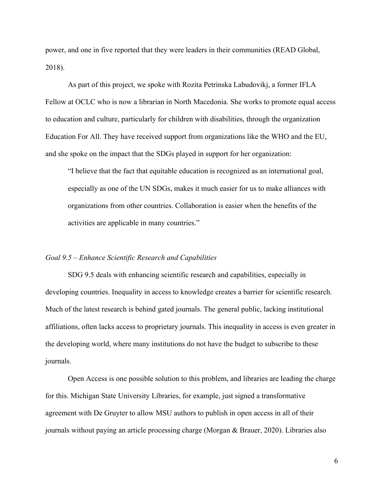power, and one in five reported that they were leaders in their communities (READ Global, 2018).

As part of this project, we spoke with Rozita Petrinska Labudovikj, a former IFLA Fellow at OCLC who is now a librarian in North Macedonia. She works to promote equal access to education and culture, particularly for children with disabilities, through the organization Education For All. They have received support from organizations like the WHO and the EU, and she spoke on the impact that the SDGs played in support for her organization:

"I believe that the fact that equitable education is recognized as an international goal, especially as one of the UN SDGs, makes it much easier for us to make alliances with organizations from other countries. Collaboration is easier when the benefits of the activities are applicable in many countries."

#### *Goal 9.5 – Enhance Scientific Research and Capabilities*

SDG 9.5 deals with enhancing scientific research and capabilities, especially in developing countries. Inequality in access to knowledge creates a barrier for scientific research. Much of the latest research is behind gated journals. The general public, lacking institutional affiliations, often lacks access to proprietary journals. This inequality in access is even greater in the developing world, where many institutions do not have the budget to subscribe to these journals.

Open Access is one possible solution to this problem, and libraries are leading the charge for this. Michigan State University Libraries, for example, just signed a transformative agreement with De Gruyter to allow MSU authors to publish in open access in all of their journals without paying an article processing charge (Morgan & Brauer, 2020). Libraries also

6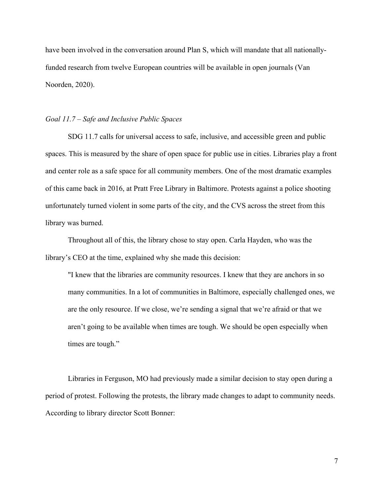have been involved in the conversation around Plan S, which will mandate that all nationallyfunded research from twelve European countries will be available in open journals (Van Noorden, 2020).

### *Goal 11.7 – Safe and Inclusive Public Spaces*

SDG 11.7 calls for universal access to safe, inclusive, and accessible green and public spaces. This is measured by the share of open space for public use in cities. Libraries play a front and center role as a safe space for all community members. One of the most dramatic examples of this came back in 2016, at Pratt Free Library in Baltimore. Protests against a police shooting unfortunately turned violent in some parts of the city, and the CVS across the street from this library was burned.

Throughout all of this, the library chose to stay open. Carla Hayden, who was the library's CEO at the time, explained why she made this decision:

"I knew that the libraries are community resources. I knew that they are anchors in so many communities. In a lot of communities in Baltimore, especially challenged ones, we are the only resource. If we close, we're sending a signal that we're afraid or that we aren't going to be available when times are tough. We should be open especially when times are tough."

Libraries in Ferguson, MO had previously made a similar decision to stay open during a period of protest. Following the protests, the library made changes to adapt to community needs. According to library director Scott Bonner: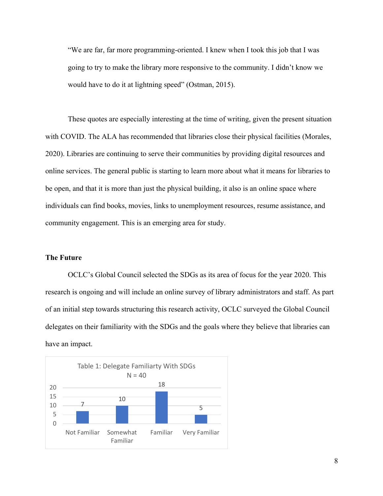"We are far, far more programming-oriented. I knew when I took this job that I was going to try to make the library more responsive to the community. I didn't know we would have to do it at lightning speed" (Ostman, 2015).

These quotes are especially interesting at the time of writing, given the present situation with COVID. The ALA has recommended that libraries close their physical facilities (Morales, 2020). Libraries are continuing to serve their communities by providing digital resources and online services. The general public is starting to learn more about what it means for libraries to be open, and that it is more than just the physical building, it also is an online space where individuals can find books, movies, links to unemployment resources, resume assistance, and community engagement. This is an emerging area for study.

#### **The Future**

OCLC's Global Council selected the SDGs as its area of focus for the year 2020. This research is ongoing and will include an online survey of library administrators and staff. As part of an initial step towards structuring this research activity, OCLC surveyed the Global Council delegates on their familiarity with the SDGs and the goals where they believe that libraries can have an impact.

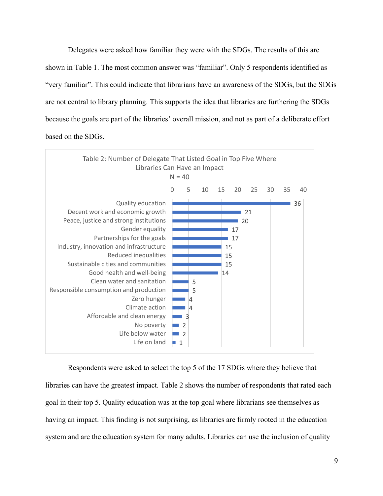Delegates were asked how familiar they were with the SDGs. The results of this are shown in Table 1. The most common answer was "familiar". Only 5 respondents identified as "very familiar". This could indicate that librarians have an awareness of the SDGs, but the SDGs are not central to library planning. This supports the idea that libraries are furthering the SDGs because the goals are part of the libraries' overall mission, and not as part of a deliberate effort based on the SDGs.



Respondents were asked to select the top 5 of the 17 SDGs where they believe that libraries can have the greatest impact. Table 2 shows the number of respondents that rated each goal in their top 5. Quality education was at the top goal where librarians see themselves as having an impact. This finding is not surprising, as libraries are firmly rooted in the education system and are the education system for many adults. Libraries can use the inclusion of quality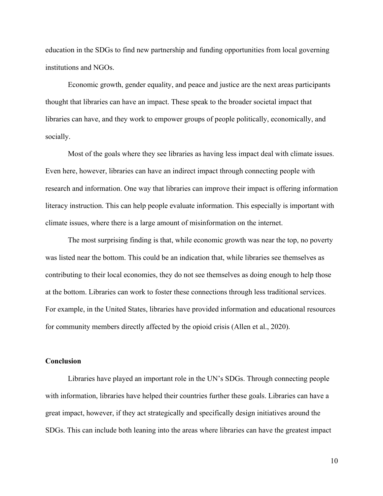education in the SDGs to find new partnership and funding opportunities from local governing institutions and NGOs.

Economic growth, gender equality, and peace and justice are the next areas participants thought that libraries can have an impact. These speak to the broader societal impact that libraries can have, and they work to empower groups of people politically, economically, and socially.

Most of the goals where they see libraries as having less impact deal with climate issues. Even here, however, libraries can have an indirect impact through connecting people with research and information. One way that libraries can improve their impact is offering information literacy instruction. This can help people evaluate information. This especially is important with climate issues, where there is a large amount of misinformation on the internet.

The most surprising finding is that, while economic growth was near the top, no poverty was listed near the bottom. This could be an indication that, while libraries see themselves as contributing to their local economies, they do not see themselves as doing enough to help those at the bottom. Libraries can work to foster these connections through less traditional services. For example, in the United States, libraries have provided information and educational resources for community members directly affected by the opioid crisis (Allen et al., 2020).

# **Conclusion**

Libraries have played an important role in the UN's SDGs. Through connecting people with information, libraries have helped their countries further these goals. Libraries can have a great impact, however, if they act strategically and specifically design initiatives around the SDGs. This can include both leaning into the areas where libraries can have the greatest impact

10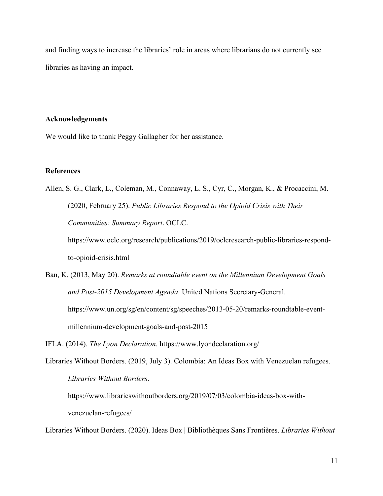and finding ways to increase the libraries' role in areas where librarians do not currently see libraries as having an impact.

#### **Acknowledgements**

We would like to thank Peggy Gallagher for her assistance.

# **References**

Allen, S. G., Clark, L., Coleman, M., Connaway, L. S., Cyr, C., Morgan, K., & Procaccini, M. (2020, February 25). *Public Libraries Respond to the Opioid Crisis with Their Communities: Summary Report*. OCLC. https://www.oclc.org/research/publications/2019/oclcresearch-public-libraries-respond-

to-opioid-crisis.html

Ban, K. (2013, May 20). *Remarks at roundtable event on the Millennium Development Goals and Post-2015 Development Agenda*. United Nations Secretary-General. https://www.un.org/sg/en/content/sg/speeches/2013-05-20/remarks-roundtable-eventmillennium-development-goals-and-post-2015

IFLA. (2014). *The Lyon Declaration*. https://www.lyondeclaration.org/

Libraries Without Borders. (2019, July 3). Colombia: An Ideas Box with Venezuelan refugees. *Libraries Without Borders*.

https://www.librarieswithoutborders.org/2019/07/03/colombia-ideas-box-withvenezuelan-refugees/

Libraries Without Borders. (2020). Ideas Box | Bibliothèques Sans Frontières. *Libraries Without*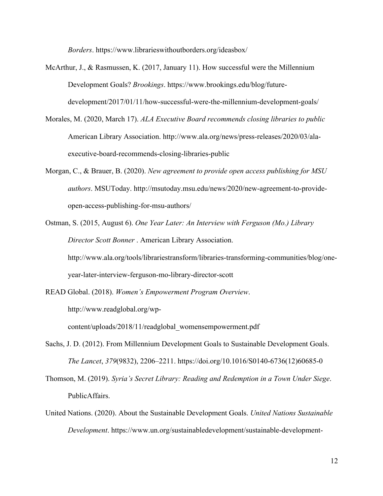*Borders*. https://www.librarieswithoutborders.org/ideasbox/

- McArthur, J., & Rasmussen, K. (2017, January 11). How successful were the Millennium Development Goals? *Brookings*. https://www.brookings.edu/blog/futuredevelopment/2017/01/11/how-successful-were-the-millennium-development-goals/
- Morales, M. (2020, March 17). *ALA Executive Board recommends closing libraries to public* American Library Association. http://www.ala.org/news/press-releases/2020/03/alaexecutive-board-recommends-closing-libraries-public
- Morgan, C., & Brauer, B. (2020). *New agreement to provide open access publishing for MSU authors*. MSUToday. http://msutoday.msu.edu/news/2020/new-agreement-to-provideopen-access-publishing-for-msu-authors/
- Ostman, S. (2015, August 6). *One Year Later: An Interview with Ferguson (Mo.) Library Director Scott Bonner* . American Library Association. http://www.ala.org/tools/librariestransform/libraries-transforming-communities/blog/oneyear-later-interview-ferguson-mo-library-director-scott
- READ Global. (2018). *Women's Empowerment Program Overview*.

http://www.readglobal.org/wp-

content/uploads/2018/11/readglobal\_womensempowerment.pdf

- Sachs, J. D. (2012). From Millennium Development Goals to Sustainable Development Goals. *The Lancet*, *379*(9832), 2206–2211. https://doi.org/10.1016/S0140-6736(12)60685-0
- Thomson, M. (2019). *Syria's Secret Library: Reading and Redemption in a Town Under Siege*. PublicAffairs.
- United Nations. (2020). About the Sustainable Development Goals. *United Nations Sustainable Development*. https://www.un.org/sustainabledevelopment/sustainable-development-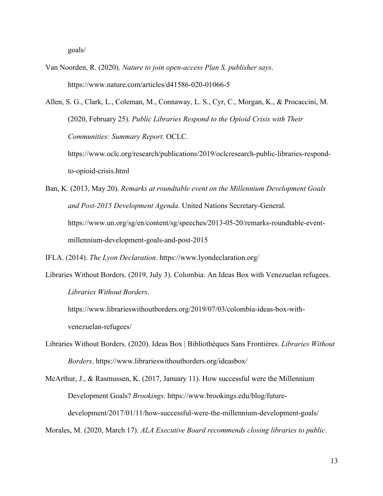goals/

Van Noorden, R. (2020). *Nature to join open-access Plan S, publisher says*. https://www.nature.com/articles/d41586-020-01066-5

Allen, S. G., Clark, L., Coleman, M., Connaway, L. S., Cyr, C., Morgan, K., & Procaccini, M. (2020, February 25). *Public Libraries Respond to the Opioid Crisis with Their Communities: Summary Report*. OCLC. https://www.oclc.org/research/publications/2019/oclcresearch-public-libraries-respond-

to-opioid-crisis.html

Ban, K. (2013, May 20). *Remarks at roundtable event on the Millennium Development Goals and Post-2015 Development Agenda*. United Nations Secretary-General. https://www.un.org/sg/en/content/sg/speeches/2013-05-20/remarks-roundtable-eventmillennium-development-goals-and-post-2015

IFLA. (2014). *The Lyon Declaration*. https://www.lyondeclaration.org/

Libraries Without Borders. (2019, July 3). Colombia: An Ideas Box with Venezuelan refugees. *Libraries Without Borders*.

https://www.librarieswithoutborders.org/2019/07/03/colombia-ideas-box-withvenezuelan-refugees/

Libraries Without Borders. (2020). Ideas Box | Bibliothèques Sans Frontières. *Libraries Without Borders*. https://www.librarieswithoutborders.org/ideasbox/

McArthur, J., & Rasmussen, K. (2017, January 11). How successful were the Millennium Development Goals? *Brookings*. https://www.brookings.edu/blog/futuredevelopment/2017/01/11/how-successful-were-the-millennium-development-goals/

Morales, M. (2020, March 17). *ALA Executive Board recommends closing libraries to public*.